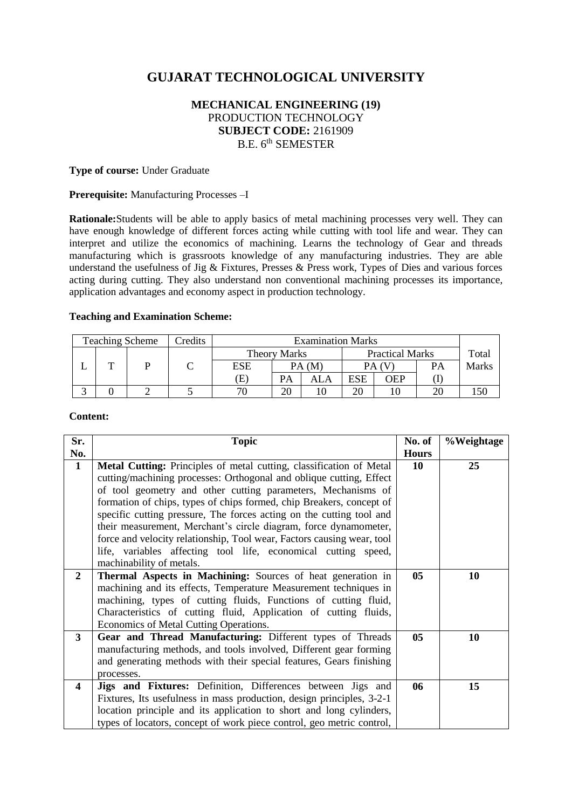# **GUJARAT TECHNOLOGICAL UNIVERSITY**

# **MECHANICAL ENGINEERING (19)** PRODUCTION TECHNOLOGY **SUBJECT CODE:** 2161909 B.E. 6<sup>th</sup> SEMESTER

#### **Type of course:** Under Graduate

#### **Prerequisite:** Manufacturing Processes –I

**Rationale:**Students will be able to apply basics of metal machining processes very well. They can have enough knowledge of different forces acting while cutting with tool life and wear. They can interpret and utilize the economics of machining. Learns the technology of Gear and threads manufacturing which is grassroots knowledge of any manufacturing industries. They are able understand the usefulness of Jig & Fixtures, Presses & Press work, Types of Dies and various forces acting during cutting. They also understand non conventional machining processes its importance, application advantages and economy aspect in production technology.

#### **Teaching and Examination Scheme:**

| <b>Teaching Scheme</b> |   |  | Credits | <b>Examination Marks</b> |                     |    |                        |     |           |       |
|------------------------|---|--|---------|--------------------------|---------------------|----|------------------------|-----|-----------|-------|
|                        |   |  |         |                          | <b>Theory Marks</b> |    | <b>Practical Marks</b> |     |           | Total |
|                        | m |  |         | ESE                      | PA(M)               |    | PA (V                  |     | <b>PA</b> | Marks |
|                        |   |  |         | (E)                      | PА                  |    | <b>ESE</b>             | OEP |           |       |
|                        |   |  |         |                          | 20                  | 10 | 20                     |     | 20        |       |

# **Content:**

| Sr.          | <b>Topic</b>                                                           | No. of         | %Weightage |
|--------------|------------------------------------------------------------------------|----------------|------------|
| No.          |                                                                        | <b>Hours</b>   |            |
| $\mathbf{1}$ | Metal Cutting: Principles of metal cutting, classification of Metal    | 10             | 25         |
|              | cutting/machining processes: Orthogonal and oblique cutting, Effect    |                |            |
|              | of tool geometry and other cutting parameters, Mechanisms of           |                |            |
|              | formation of chips, types of chips formed, chip Breakers, concept of   |                |            |
|              | specific cutting pressure, The forces acting on the cutting tool and   |                |            |
|              | their measurement, Merchant's circle diagram, force dynamometer,       |                |            |
|              | force and velocity relationship, Tool wear, Factors causing wear, tool |                |            |
|              | life, variables affecting tool life, economical cutting speed,         |                |            |
|              | machinability of metals.                                               |                |            |
| $\mathbf{2}$ | <b>Thermal Aspects in Machining:</b> Sources of heat generation in     | 05             | 10         |
|              | machining and its effects, Temperature Measurement techniques in       |                |            |
|              | machining, types of cutting fluids, Functions of cutting fluid,        |                |            |
|              | Characteristics of cutting fluid, Application of cutting fluids,       |                |            |
|              | Economics of Metal Cutting Operations.                                 |                |            |
| $3^{\circ}$  | Gear and Thread Manufacturing: Different types of Threads              | 0 <sub>5</sub> | 10         |
|              | manufacturing methods, and tools involved, Different gear forming      |                |            |
|              | and generating methods with their special features, Gears finishing    |                |            |
|              | processes.                                                             |                |            |
| 4            | Jigs and Fixtures: Definition, Differences between Jigs and            | 06             | 15         |
|              | Fixtures, Its usefulness in mass production, design principles, 3-2-1  |                |            |
|              | location principle and its application to short and long cylinders,    |                |            |
|              | types of locators, concept of work piece control, geo metric control,  |                |            |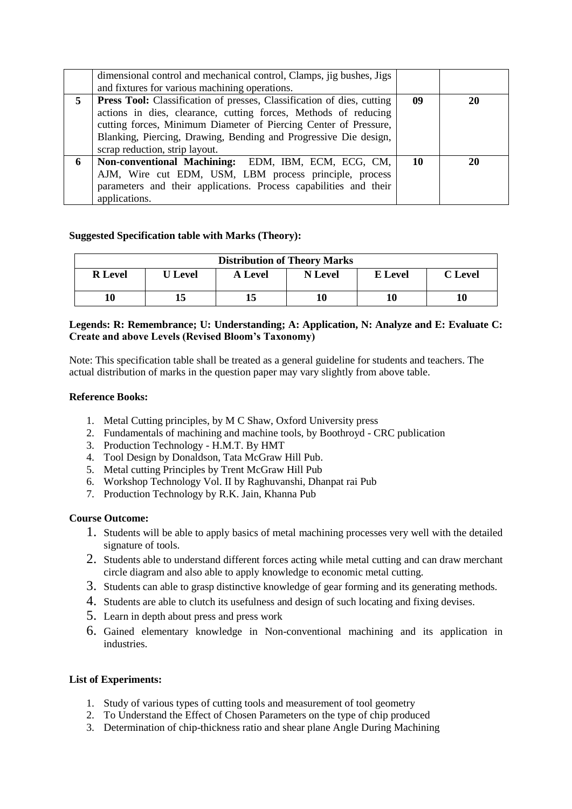|   | dimensional control and mechanical control, Clamps, jig bushes, Jigs                                                                                                                                                                                                                                                       |    |           |
|---|----------------------------------------------------------------------------------------------------------------------------------------------------------------------------------------------------------------------------------------------------------------------------------------------------------------------------|----|-----------|
|   | and fixtures for various machining operations.                                                                                                                                                                                                                                                                             |    |           |
| 5 | <b>Press Tool:</b> Classification of presses, Classification of dies, cutting<br>actions in dies, clearance, cutting forces, Methods of reducing<br>cutting forces, Minimum Diameter of Piercing Center of Pressure,<br>Blanking, Piercing, Drawing, Bending and Progressive Die design,<br>scrap reduction, strip layout. | 09 | <b>20</b> |
| 6 | Non-conventional Machining: EDM, IBM, ECM, ECG, CM,<br>AJM, Wire cut EDM, USM, LBM process principle, process<br>parameters and their applications. Process capabilities and their<br>applications.                                                                                                                        | 10 | 20        |

# **Suggested Specification table with Marks (Theory):**

| <b>Distribution of Theory Marks</b> |                |                |         |         |                |  |  |  |
|-------------------------------------|----------------|----------------|---------|---------|----------------|--|--|--|
| <b>R</b> Level                      | <b>U</b> Level | <b>A</b> Level | N Level | E Level | <b>C</b> Level |  |  |  |
| 10                                  | 15             |                |         | 10      | 10             |  |  |  |

# **Legends: R: Remembrance; U: Understanding; A: Application, N: Analyze and E: Evaluate C: Create and above Levels (Revised Bloom's Taxonomy)**

Note: This specification table shall be treated as a general guideline for students and teachers. The actual distribution of marks in the question paper may vary slightly from above table.

# **Reference Books:**

- 1. Metal Cutting principles, by M C Shaw, Oxford University press
- 2. Fundamentals of machining and machine tools, by Boothroyd CRC publication
- 3. Production Technology H.M.T. By HMT
- 4. Tool Design by Donaldson, Tata McGraw Hill Pub.
- 5. Metal cutting Principles by Trent McGraw Hill Pub
- 6. Workshop Technology Vol. II by Raghuvanshi, Dhanpat rai Pub
- 7. Production Technology by R.K. Jain, Khanna Pub

# **Course Outcome:**

- 1. Students will be able to apply basics of metal machining processes very well with the detailed signature of tools.
- 2. Students able to understand different forces acting while metal cutting and can draw merchant circle diagram and also able to apply knowledge to economic metal cutting.
- 3. Students can able to grasp distinctive knowledge of gear forming and its generating methods.
- 4. Students are able to clutch its usefulness and design of such locating and fixing devises.
- 5. Learn in depth about press and press work
- 6. Gained elementary knowledge in Non-conventional machining and its application in industries.

# **List of Experiments:**

- 1. Study of various types of cutting tools and measurement of tool geometry
- 2. To Understand the Effect of Chosen Parameters on the type of chip produced
- 3. Determination of chip-thickness ratio and shear plane Angle During Machining